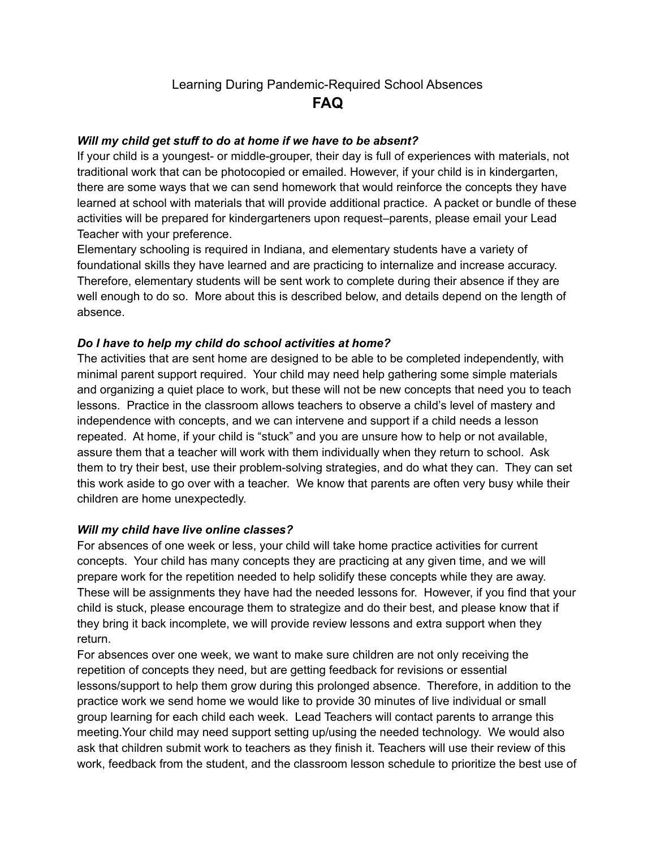# Learning During Pandemic-Required School Absences **FAQ**

# *Will my child get stuff to do at home if we have to be absent?*

If your child is a youngest- or middle-grouper, their day is full of experiences with materials, not traditional work that can be photocopied or emailed. However, if your child is in kindergarten, there are some ways that we can send homework that would reinforce the concepts they have learned at school with materials that will provide additional practice. A packet or bundle of these activities will be prepared for kindergarteners upon request–parents, please email your Lead Teacher with your preference.

Elementary schooling is required in Indiana, and elementary students have a variety of foundational skills they have learned and are practicing to internalize and increase accuracy. Therefore, elementary students will be sent work to complete during their absence if they are well enough to do so. More about this is described below, and details depend on the length of absence.

# *Do I have to help my child do school activities at home?*

The activities that are sent home are designed to be able to be completed independently, with minimal parent support required. Your child may need help gathering some simple materials and organizing a quiet place to work, but these will not be new concepts that need you to teach lessons. Practice in the classroom allows teachers to observe a child's level of mastery and independence with concepts, and we can intervene and support if a child needs a lesson repeated. At home, if your child is "stuck" and you are unsure how to help or not available, assure them that a teacher will work with them individually when they return to school. Ask them to try their best, use their problem-solving strategies, and do what they can. They can set this work aside to go over with a teacher. We know that parents are often very busy while their children are home unexpectedly.

### *Will my child have live online classes?*

For absences of one week or less, your child will take home practice activities for current concepts. Your child has many concepts they are practicing at any given time, and we will prepare work for the repetition needed to help solidify these concepts while they are away. These will be assignments they have had the needed lessons for. However, if you find that your child is stuck, please encourage them to strategize and do their best, and please know that if they bring it back incomplete, we will provide review lessons and extra support when they return.

For absences over one week, we want to make sure children are not only receiving the repetition of concepts they need, but are getting feedback for revisions or essential lessons/support to help them grow during this prolonged absence. Therefore, in addition to the practice work we send home we would like to provide 30 minutes of live individual or small group learning for each child each week. Lead Teachers will contact parents to arrange this meeting.Your child may need support setting up/using the needed technology. We would also ask that children submit work to teachers as they finish it. Teachers will use their review of this work, feedback from the student, and the classroom lesson schedule to prioritize the best use of